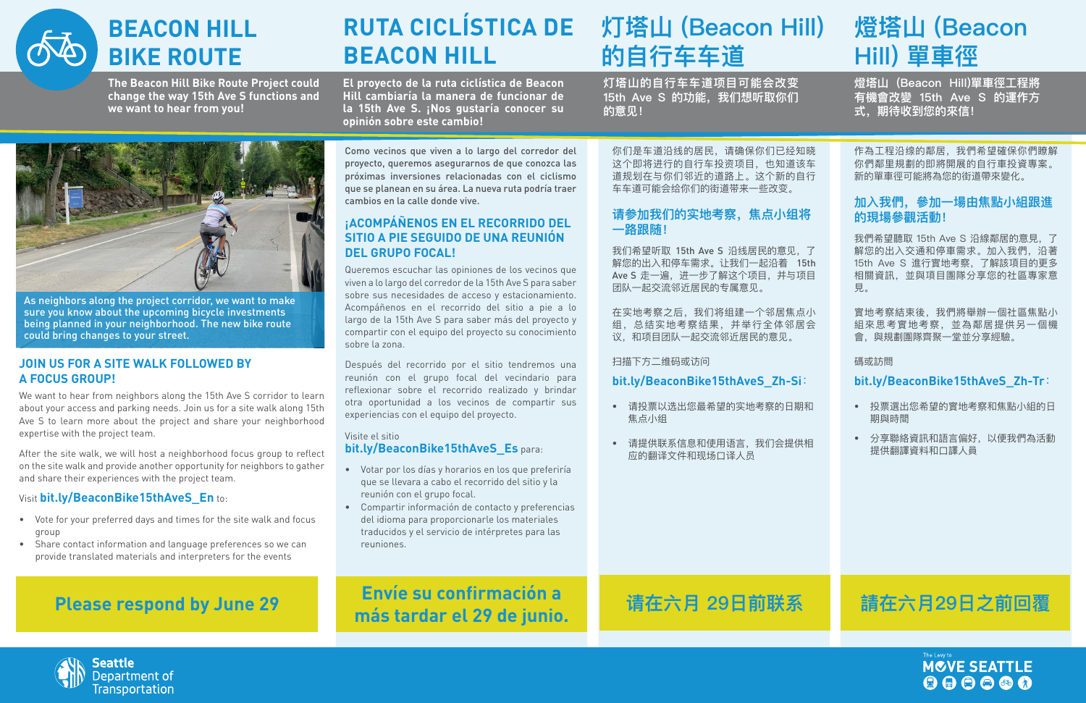

# **BEACON HILL BIKE ROUTE**

### **JOIN US FOR A SITE WALK FOLLOWED BY A FOCUS GROUP!**

We want to hear from neighbors along the 15th Ave S corridor to learn about your access and parking needs. Join us for a site walk along 15th Ave S to learn more about the project and share your neighborhood expertise with the project team.

After the site walk, we will host a neighborhood focus group to reflect on the site walk and provide another opportunity for neighbors to gather and share their experiences with the project team.

### Visit **bit.ly/BeaconBike15thAveS\_En** to:

- Vote for your preferred days and times for the site walk and focus group
- Share contact information and language preferences so we can provide translated materials and interpreters for the events



As neighbors along the project corridor, we want to make sure you know about the upcoming bicycle investments being planned in your neighborhood. The new bike route could bring changes to your street.

### **Please respond by June 29**

# **BEACON HILL**

Como vecinos que viven a lo largo del corredor del proyecto, queremos asegurarnos de que conozca las próximas inversiones relacionadas con el ciclismo que se planean en su área. La nueva ruta podría traer cambios en la calle donde vive.

### **¡ACOMPÁÑENOS EN EL RECORRIDO DEL SITIO A PIE SEGUIDO DE UNA REUNIÓN DEL GRUPO FOCAL!**

實地考察結束後,我們將舉辦一個社區焦點小 組來思考實地考察,並為鄰居提供另一個機 會,與規劃團隊齊聚一堂並分享經驗。

Queremos escuchar las opiniones de los vecinos que viven a lo largo del corredor de la 15th Ave S para saber sobre sus necesidades de acceso y estacionamiento. Acompáñenos en el recorrido del sitio a pie a lo largo de la 15th Ave S para saber más del proyecto y compartir con el equipo del proyecto su conocimiento sobre la zona.

# **RUTA CICLÍSTICA DE 灯塔山 (Beacon Hill) 的自行车车道**

Después del recorrido por el sitio tendremos una reunión con el grupo focal del vecindario para reflexionar sobre el recorrido realizado y brindar otra oportunidad a los vecinos de compartir sus experiencias con el equipo del proyecto.

### Visite el sitio **bit.ly/BeaconBike15thAveS\_Es** para:

- Votar por los días y horarios en los que preferiría que se llevara a cabo el recorrido del sitio y la reunión con el grupo focal.
- Compartir información de contacto y preferencias del idioma para proporcionarle los materiales traducidos y el servicio de intérpretes para las reuniones.

**Envíe su confirmación a más tardar el 29 de junio.**

你们是车道沿线的居民,请确保你们已经知晓 这个即将进行的自行车投资项目,也知道该车 道规划在与你们邻近的道路上。这个新的自行 车车道可能会给你们的街道带来一些改变。

### **请参加我们的实地考察,焦点小组将 一路跟随!**

我们希望听取 15th Ave S 沿线居民的意见,了 解您的出入和停车需求。让我们一起沿着 15th Ave S 走一遍, 进一步了解这个项目, 并与项目 团队一起交流邻近居民的专属意见。

在实地考察之后,我们将组建一个邻居焦点小 组,总结实地考察结果,并举行全体邻居会 议,和项目团队一起交流邻近居民的意见。

扫描下方二维码或访问

### **bit.ly/BeaconBike15thAveS\_Zh-Si**:

- 请投票以选出您最希望的实地考察的日期和 焦点小组
- 请提供联系信息和使用语言,我们会提供相 应的翻译文件和现场口译人员

### **请在六月 29日前联系**



## **燈塔山 (Beacon Hill) 單車徑**

作為工程沿缐的鄰居,我們希望確保你們瞭解 你們鄰里規劃的即將開展的自行車投資專案。 新的單車徑可能將為您的街道帶來變化。

### **加入我們,參加一場由焦點小組跟進 的現場參觀活動!**

我們希望聽取 15th Ave S 沿線鄰居的意見,了 解您的出入交通和停車需求。加入我們,沿著 15th Ave S 進行實地考察,了解該項目的更多 相關資訊,並與項目團隊分享您的社區專家意 見。

碼或訪問

### **bit.ly/BeaconBike15thAveS\_Zh-Tr**:

- 投票選出您希望的實地考察和焦點小組的日 期與時間
- 分享聯絡資訊和語言偏好,以便我們為活動 提供翻譯資料和口譯人員



### **請在六月29日之前回覆**



**The Beacon Hill Bike Route Project could change the way 15th Ave S functions and we want to hear from you!**

**El proyecto de la ruta ciclística de Beacon Hill cambiaría la manera de funcionar de la 15th Ave S. ¡Nos gustaría conocer su opinión sobre este cambio!**

**灯塔山的自行车车道项目可能会改变**  15th Ave S 的功能, 我们想听取你们 **的意见!**

**燈塔山 (Beacon Hill)單車徑工程將 有機會改變 15th Ave S 的運作方 式,期待收到您的來信!** 

- 
- 
- 
-